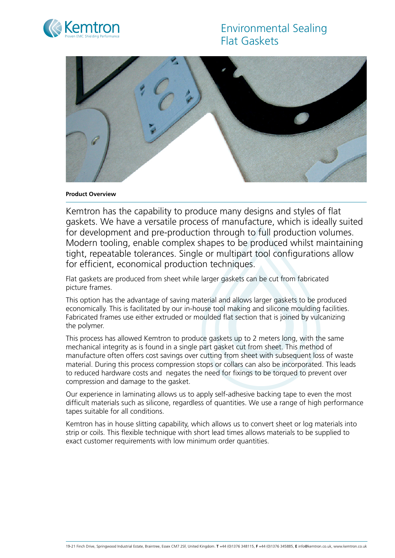# Environmental Sealing Flat Gaskets





### **Product Overview**

Kemtron has the capability to produce many designs and styles of flat gaskets. We have a versatile process of manufacture, which is ideally suited for development and pre-production through to full production volumes. Modern tooling, enable complex shapes to be produced whilst maintaining tight, repeatable tolerances. Single or multipart tool configurations allow for efficient, economical production techniques.

Flat gaskets are produced from sheet while larger gaskets can be cut from fabricated picture frames.

This option has the advantage of saving material and allows larger gaskets to be produced economically. This is facilitated by our in-house tool making and silicone moulding facilities. Fabricated frames use either extruded or moulded flat section that is joined by vulcanizing the polymer.

This process has allowed Kemtron to produce gaskets up to 2 meters long, with the same mechanical integrity as is found in a single part gasket cut from sheet. This method of manufacture often offers cost savings over cutting from sheet with subsequent loss of waste material. During this process compression stops or collars can also be incorporated. This leads to reduced hardware costs and negates the need for fixings to be torqued to prevent over compression and damage to the gasket.

Our experience in laminating allows us to apply self-adhesive backing tape to even the most difficult materials such as silicone, regardless of quantities. We use a range of high performance tapes suitable for all conditions.

Kemtron has in house slitting capability, which allows us to convert sheet or log materials into strip or coils. This flexible technique with short lead times allows materials to be supplied to exact customer requirements with low minimum order quantities.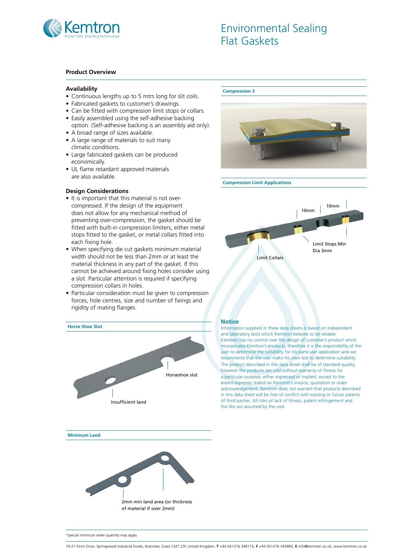

# Environmental Sealing Flat Gaskets

### **Product Overview**

### **Availability**

- Continuous lengths up to 5 mtrs long for slit coils.
- Fabricated gaskets to customer's drawings.
- Can be fitted with compression limit stops or collars.
- Easily assembled using the self-adhesive backing option. (Self-adhesive backing is an assembly aid only).
- A broad range of sizes available.
- A large range of materials to suit many climatic conditions.
- Large fabricated gaskets can be produced economically.
- UL flame retardant approved materials are also available.

### **Design Considerations**

- It is important that this material is not overcompressed. If the design of the equipment does not allow for any mechanical method of preventing over-compression, the gasket should be fitted with built-in compression limiters, either metal stops fitted to the gasket, or metal collars fitted into each fixing hole.
- When specifying die cut gaskets minimum material width should not be less than 2mm or at least the material thickness in any part of the gasket. If this cannot be achieved around fixing holes consider using a slot. Particular attention is required if specifying compression collars in holes.
- Particular consideration must be given to compression forces, hole centres, size and number of fixings and rigidity of mating flanges.



#### **Compression 3**



#### **Compression Limit Applications**



#### **Notice**

Information supplied in these data sheets is based on independent and laboratory tests which Kemtron believes to be reliable. Kemtron has no control over the design of customer's product which incorporates Kemtron's products, therefore it is the responsibility of the user to determine the suitability for his particular application and we recommend that the user make his own test to determine suitability. The product described in this data sheet shall be of standard quality, however the products are sold without warranty of fitness for a particular purpose, either expressed or implied, except to the extent expressly stated on Kemtron's invoice, quotation or order acknowledgement. Kemtron does not warrant that products described in this data sheet will be free of conflict with existing or future patents of third parties. All risks of lack of fitness, patent infringement and the like are assumed by the user.

**Minimum Land**



\*special minimum order quantity may apply

<sup>19-21</sup> Finch Drive, Springwood Industrial Estate, Braintree, Essex CM7 2SF, United Kingdom. **T** +44 (0)1376 348115, **F** +44 (0)1376 345885, **E** info@kemtron.co.uk, www.kemtron.co.uk